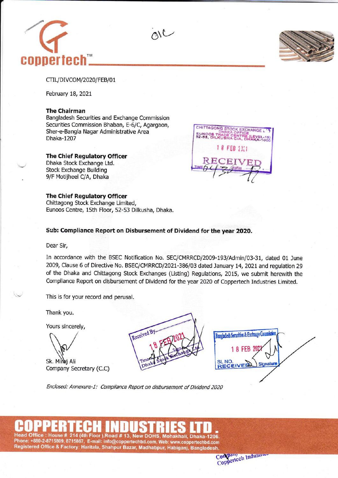



CTIL/DIVCOM/2020/FEB/01

February 18, 2021

### The Chairman

Bangladesh Securities and Exchange Commission Securities Commission Bhaban, E-6/C, Agargaon, Sher-e-Bangla Nagar Administrative Area Dhaka-1207

#### The Chief Regulatory Officer

Dhaka Stock Exchange Ltd. Stock Exchange Building 9/F Motijheel C/A, Dhaka

## The Chief Regulatory Officer

Chittagong Stock Exchange Limited, Eunoos Centre, 15th Floor, 52-53 Dilkusha, Dhaka.

# Sub: Compliance Report on Disbursement of Dividend for the year 2020.

alc

Dear Sir,

In accordance with the BSEC Notification No. SEC/CMRRCD/2009-193/Admin/03-31, dated 01 June 2009, Clause 6 of Directive No. BSEC/CMRRCD/2021-386/03 dated January L4,2021and regulation 29 of the Dhaka and Chittagong Stock Exchanges (Listing) Regulations, 2015, we submit herewith the Compliance Report on disbursement of Dividend for the year 2020 of Coppertech Industries Limited.

This is for your record and perusal.

Thank you.

Yours sincerely,

Sk. Miraj Ali Company Secretary (C.C)



Bangladesh Securities & Exchange Com 1 8 FEB 20 **SL NO** Signatur RECEIVER

Enclosed: Annexure-l: Compliance Repoft on disbursement of Dividend 2020

# 214 (4th Floor ),Road # 13, New DOHS, Mohakhali, Dhaka-1206. Phone: +880-2-8715809, 8715867, E-mail: info@coppertechbd.com, web: www.coppertechbd.com



1 8 FEB 2311

CHITTAGONG STOCK EXCHANGE EUNOOS TRADE CENTRE (LEVEL-15)<br>52-53, DILKUSHA C/A, DHAKA-1000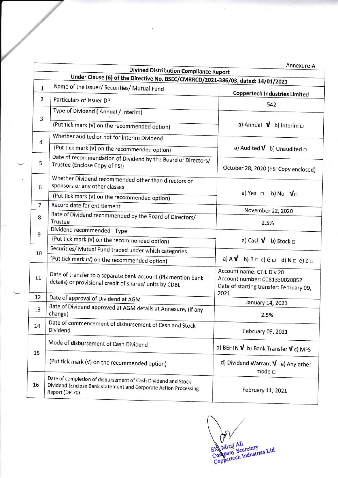|                | <b>Divined Distribution Compliance Report</b>                                                                                                       | Annexure-A                                                                                                    |  |  |
|----------------|-----------------------------------------------------------------------------------------------------------------------------------------------------|---------------------------------------------------------------------------------------------------------------|--|--|
|                | Under Clause (6) of the Directive No. BSEC/CMRRCD/2021-386/03, dated: 14/01/2021                                                                    |                                                                                                               |  |  |
| $\mathbf{1}$   | Name of the Issuer/ Securities/ Mutual Fund                                                                                                         |                                                                                                               |  |  |
| $\overline{2}$ | Particulars of Issuer DP                                                                                                                            | <b>Coppertech Industries Limited</b>                                                                          |  |  |
|                | Type of Dividend (Annual / Interim)                                                                                                                 | 542                                                                                                           |  |  |
| 3              |                                                                                                                                                     | a) Annual $\mathbf{V}$ b) Interim $\Box$                                                                      |  |  |
|                | (Put tick mark (v) on the recommended option)                                                                                                       |                                                                                                               |  |  |
| 4              | Whether audited or not for interim Dividend                                                                                                         | a) Audited $\mathbf{V}$ b) Unaudited $\Box$<br>October 28, 2020 (PSI Copy enclosed)                           |  |  |
|                | (Put tick mark (v) on the recommended option)                                                                                                       |                                                                                                               |  |  |
| 5              | Date of recommendation of Dividend by the Board of Directors/<br>Trustee (Enclose Copy of PSI)                                                      |                                                                                                               |  |  |
| 6              | Whether Dividend recommended other than directors or<br>sponsors or any other classes                                                               | a) Yes o<br>b) No $V_{\square}$                                                                               |  |  |
|                | (Put tick mark (v) on the recommended option)                                                                                                       |                                                                                                               |  |  |
| 7              | Record date for entitlement                                                                                                                         | November 22, 2020                                                                                             |  |  |
| 8              | Rate of Dividend recommended by the Board of Directors/<br>Trustee                                                                                  | 2.5%                                                                                                          |  |  |
| 9              | Dividend recommended - Type                                                                                                                         |                                                                                                               |  |  |
|                | (Put tick mark (v) on the recommended option)                                                                                                       | a) Cash <b>V</b> b) Stock $\Box$                                                                              |  |  |
| 10             | Securities/ Mutual Fund traded under which categories                                                                                               |                                                                                                               |  |  |
|                | (Put tick mark (v) on the recommended option)                                                                                                       | a) A ${\bm \nu}$<br>b) $B \Box c$ ) $G \Box d$ ) $N \Box e$ ) $Z \Box$                                        |  |  |
| 11             | Date of transfer to a separate bank account (Pls mention bank<br>details) or provisional credit of shares/ units by CDBL                            | Account name: CTIL Div 20<br>Account number: 0081330020852<br>Date of starting transfer: February 09,<br>2021 |  |  |
| 12             | Date of approval of Dividend at AGM                                                                                                                 | January 14, 2021                                                                                              |  |  |
| 13             | Rate of Dividend approved at AGM details at Annexure, (if any<br>change)                                                                            | 2.5%                                                                                                          |  |  |
| 14             | Date of commencement of disbursement of Cash and Stock<br>Dividend                                                                                  | February 09, 2021                                                                                             |  |  |
|                | Mode of disbursement of Cash Dividend                                                                                                               | a) BEFTN $\boldsymbol{V}$ b) Bank Transfer $\boldsymbol{V}$ c) MFS                                            |  |  |
| 15             | (Put tick mark (v) on the recommended option)                                                                                                       | d) Dividend Warrant $\mathbf{V}$ e) Any other<br>mode $\Box$                                                  |  |  |
| 16             | Date of completion of disbursement of Cash Dividend and Stock<br>Dividend [Enclose Bank statement and Corporate Action Processing<br>Report (DP 70) | February 11, 2021                                                                                             |  |  |

**Carl 1** SK Miraj Ali<br>Company Secretary<br>Coppertech Industries Ltd.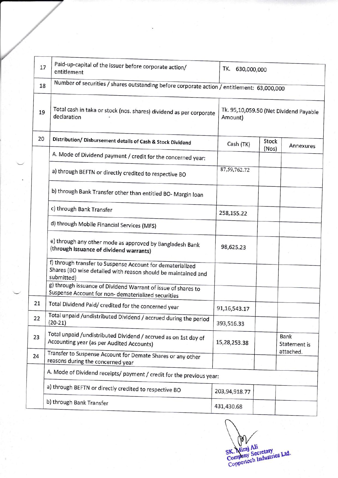| Paid-up-capital of the issuer before corporate action/<br>entitlement<br>Number of securities / shares outstanding before corporate action / entitlement: 63,000,000<br>Total cash in taka or stock (nos. shares) dividend as per corporate<br>declaration<br>Distribution/ Disbursement details of Cash & Stock Dividend | TK.<br>630,000,000<br>Amount)                                                                                          |                                        |                      |  |  |
|---------------------------------------------------------------------------------------------------------------------------------------------------------------------------------------------------------------------------------------------------------------------------------------------------------------------------|------------------------------------------------------------------------------------------------------------------------|----------------------------------------|----------------------|--|--|
|                                                                                                                                                                                                                                                                                                                           |                                                                                                                        |                                        |                      |  |  |
|                                                                                                                                                                                                                                                                                                                           |                                                                                                                        |                                        |                      |  |  |
|                                                                                                                                                                                                                                                                                                                           |                                                                                                                        | Tk. 95,10,059.50 (Net Dividend Payable |                      |  |  |
|                                                                                                                                                                                                                                                                                                                           | Cash (TK)                                                                                                              | Stock                                  | Annexures            |  |  |
| A. Mode of Dividend payment / credit for the concerned year:                                                                                                                                                                                                                                                              |                                                                                                                        |                                        |                      |  |  |
| a) through BEFTN or directly credited to respective BO                                                                                                                                                                                                                                                                    | 87, 59, 762. 72                                                                                                        |                                        |                      |  |  |
| b) through Bank Transfer other than entitled BO- Margin loan                                                                                                                                                                                                                                                              |                                                                                                                        |                                        |                      |  |  |
| c) through Bank Transfer                                                                                                                                                                                                                                                                                                  | 258,155.22                                                                                                             |                                        |                      |  |  |
| d) through Mobile Financial Services (MFS)                                                                                                                                                                                                                                                                                |                                                                                                                        |                                        |                      |  |  |
| e) through any other mode as approved by Bangladesh Bank<br>(through issuance of dividend warrants)                                                                                                                                                                                                                       | 98,625.23                                                                                                              |                                        |                      |  |  |
| f) through transfer to Suspense Account for dematerialized<br>Shares (BO wise detailed with reason should be maintained and<br>submitted)                                                                                                                                                                                 |                                                                                                                        |                                        |                      |  |  |
| g) through issuance of Dividend Warrant of issue of shares to                                                                                                                                                                                                                                                             |                                                                                                                        |                                        |                      |  |  |
| Total Dividend Paid/ credited for the concerned year                                                                                                                                                                                                                                                                      | 91,16,543.17                                                                                                           |                                        |                      |  |  |
| $(20-21)$                                                                                                                                                                                                                                                                                                                 | 393,516.33                                                                                                             |                                        |                      |  |  |
| Total unpaid /undistributed Dividend / accrued as on 1st day of<br>Accounting year (as per Audited Accounts)                                                                                                                                                                                                              | 15,28,253.38                                                                                                           |                                        | Bank<br>Statement is |  |  |
| Transfer to Suspense Account for Demate Shares or any other<br>reasons during the concerned year                                                                                                                                                                                                                          |                                                                                                                        |                                        | attached.            |  |  |
| A. Mode of Dividend receipts/ payment / credit for the previous year:                                                                                                                                                                                                                                                     |                                                                                                                        |                                        |                      |  |  |
| a) through BEFTN or directly credited to respective BO                                                                                                                                                                                                                                                                    | 203,94,918.77                                                                                                          |                                        |                      |  |  |
| b) through Bank Transfer                                                                                                                                                                                                                                                                                                  |                                                                                                                        |                                        |                      |  |  |
|                                                                                                                                                                                                                                                                                                                           | Suspense Account for non-dematerialized securities<br>Total unpaid /undistributed Dividend / accrued during the period | 431,430.68                             | (Nos)                |  |  |

OV SK. Miraj Ali<br>Company Secretary<br>Coppertech Industries Ltd.